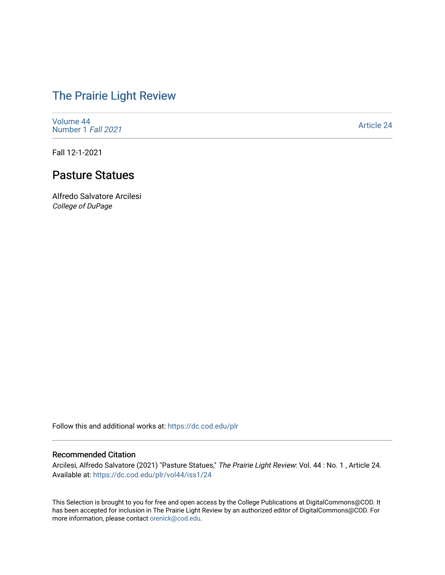# [The Prairie Light Review](https://dc.cod.edu/plr)

[Volume 44](https://dc.cod.edu/plr/vol44) [Number 1](https://dc.cod.edu/plr/vol44/iss1) Fall 2021

[Article 24](https://dc.cod.edu/plr/vol44/iss1/24) 

Fall 12-1-2021

# Pasture Statues

Alfredo Salvatore Arcilesi College of DuPage

Follow this and additional works at: [https://dc.cod.edu/plr](https://dc.cod.edu/plr?utm_source=dc.cod.edu%2Fplr%2Fvol44%2Fiss1%2F24&utm_medium=PDF&utm_campaign=PDFCoverPages) 

### Recommended Citation

Arcilesi, Alfredo Salvatore (2021) "Pasture Statues," The Prairie Light Review: Vol. 44 : No. 1 , Article 24. Available at: [https://dc.cod.edu/plr/vol44/iss1/24](https://dc.cod.edu/plr/vol44/iss1/24?utm_source=dc.cod.edu%2Fplr%2Fvol44%2Fiss1%2F24&utm_medium=PDF&utm_campaign=PDFCoverPages)

This Selection is brought to you for free and open access by the College Publications at DigitalCommons@COD. It has been accepted for inclusion in The Prairie Light Review by an authorized editor of DigitalCommons@COD. For more information, please contact [orenick@cod.edu.](mailto:orenick@cod.edu)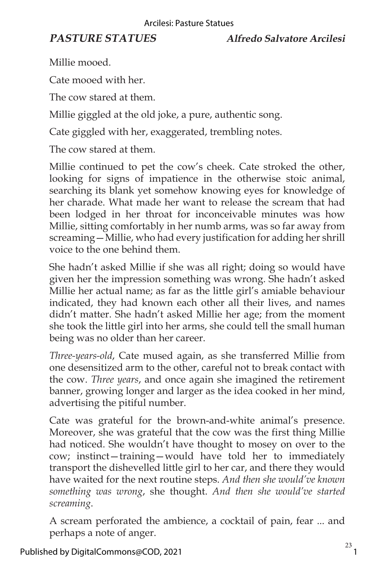Millie mooed.

Cate mooed with her.

The cow stared at them.

Millie giggled at the old joke, a pure, authentic song.

Cate giggled with her, exaggerated, trembling notes.

The cow stared at them.

Millie continued to pet the cow's cheek. Cate stroked the other, looking for signs of impatience in the otherwise stoic animal, searching its blank yet somehow knowing eyes for knowledge of her charade. What made her want to release the scream that had been lodged in her throat for inconceivable minutes was how Millie, sitting comfortably in her numb arms, was so far away from screaming—Millie, who had every justification for adding her shrill voice to the one behind them.

She hadn't asked Millie if she was all right; doing so would have given her the impression something was wrong. She hadn't asked Millie her actual name; as far as the little girl's amiable behaviour indicated, they had known each other all their lives, and names didn't matter. She hadn't asked Millie her age; from the moment she took the little girl into her arms, she could tell the small human being was no older than her career.

*Three-years-old*, Cate mused again, as she transferred Millie from one desensitized arm to the other, careful not to break contact with the cow. *Three years*, and once again she imagined the retirement banner, growing longer and larger as the idea cooked in her mind, advertising the pitiful number.

Cate was grateful for the brown-and-white animal's presence. Moreover, she was grateful that the cow was the first thing Millie had noticed. She wouldn't have thought to mosey on over to the cow; instinct—training—would have told her to immediately transport the dishevelled little girl to her car, and there they would have waited for the next routine steps. *And then she would've known something was wrong*, she thought. *And then she would've started screaming*.

A scream perforated the ambience, a cocktail of pain, fear ... and perhaps a note of anger.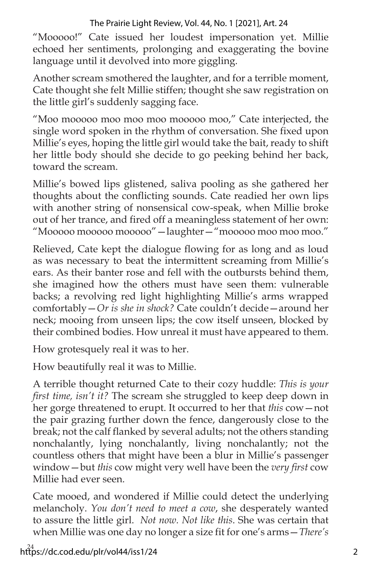## The Prairie Light Review, Vol. 44, No. 1 [2021], Art. 24

"Mooooo!" Cate issued her loudest impersonation yet. Millie echoed her sentiments, prolonging and exaggerating the bovine language until it devolved into more giggling.

Another scream smothered the laughter, and for a terrible moment, Cate thought she felt Millie stiffen; thought she saw registration on the little girl's suddenly sagging face.

"Moo mooooo moo moo moo mooooo moo," Cate interjected, the single word spoken in the rhythm of conversation. She fixed upon Millie's eyes, hoping the little girl would take the bait, ready to shift her little body should she decide to go peeking behind her back, toward the scream.

Millie's bowed lips glistened, saliva pooling as she gathered her thoughts about the conflicting sounds. Cate readied her own lips with another string of nonsensical cow-speak, when Millie broke out of her trance, and fired off a meaningless statement of her own: "Mooooo mooooo mooooo" - laughter - "mooooo moo moo moo."

Relieved, Cate kept the dialogue flowing for as long and as loud as was necessary to beat the intermittent screaming from Millie's ears. As their banter rose and fell with the outbursts behind them, she imagined how the others must have seen them: vulnerable backs; a revolving red light highlighting Millie's arms wrapped comfortably—*Or is she in shock?* Cate couldn't decide—around her neck; mooing from unseen lips; the cow itself unseen, blocked by their combined bodies. How unreal it must have appeared to them.

How grotesquely real it was to her.

How beautifully real it was to Millie.

A terrible thought returned Cate to their cozy huddle: *This is your first time, isn't it?* The scream she struggled to keep deep down in her gorge threatened to erupt. It occurred to her that *this* cow—not the pair grazing further down the fence, dangerously close to the break; not the calf flanked by several adults; not the others standing nonchalantly, lying nonchalantly, living nonchalantly; not the countless others that might have been a blur in Millie's passenger window—but *this* cow might very well have been the *very first* cow Millie had ever seen.

Cate mooed, and wondered if Millie could detect the underlying melancholy. *You don't need to meet a cow*, she desperately wanted to assure the little girl. *Not now. Not like this*. She was certain that when Millie was one day no longer a size fit for one's arms—*There's*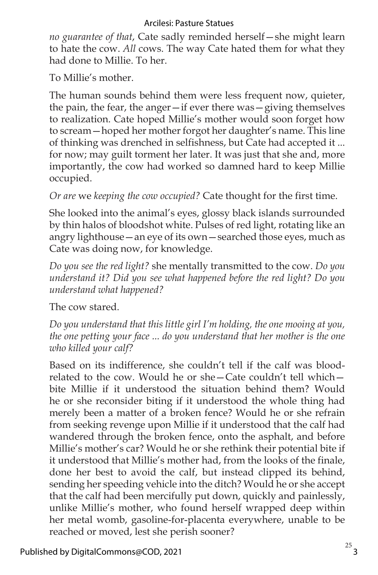### Arcilesi: Pasture Statues

*no guarantee of that*, Cate sadly reminded herself—she might learn to hate the cow. *All* cows. The way Cate hated them for what they had done to Millie. To her.

To Millie's mother.

The human sounds behind them were less frequent now, quieter, the pain, the fear, the anger—if ever there was—giving themselves to realization. Cate hoped Millie's mother would soon forget how to scream—hoped her mother forgot her daughter's name. This line of thinking was drenched in selfishness, but Cate had accepted it ... for now; may guilt torment her later. It was just that she and, more importantly, the cow had worked so damned hard to keep Millie occupied.

*Or are* we *keeping the cow occupied?* Cate thought for the first time.

She looked into the animal's eyes, glossy black islands surrounded by thin halos of bloodshot white. Pulses of red light, rotating like an angry lighthouse—an eye of its own—searched those eyes, much as Cate was doing now, for knowledge.

*Do you see the red light?* she mentally transmitted to the cow. *Do you understand it? Did you see what happened before the red light? Do you understand what happened?*

The cow stared.

*Do you understand that this little girl I'm holding, the one mooing at you, the one petting your face ... do you understand that her mother is the one who killed your calf?*

Based on its indifference, she couldn't tell if the calf was bloodrelated to the cow. Would he or she—Cate couldn't tell which bite Millie if it understood the situation behind them? Would he or she reconsider biting if it understood the whole thing had merely been a matter of a broken fence? Would he or she refrain from seeking revenge upon Millie if it understood that the calf had wandered through the broken fence, onto the asphalt, and before Millie's mother's car? Would he or she rethink their potential bite if it understood that Millie's mother had, from the looks of the finale, done her best to avoid the calf, but instead clipped its behind, sending her speeding vehicle into the ditch? Would he or she accept that the calf had been mercifully put down, quickly and painlessly, unlike Millie's mother, who found herself wrapped deep within her metal womb, gasoline-for-placenta everywhere, unable to be reached or moved, lest she perish sooner?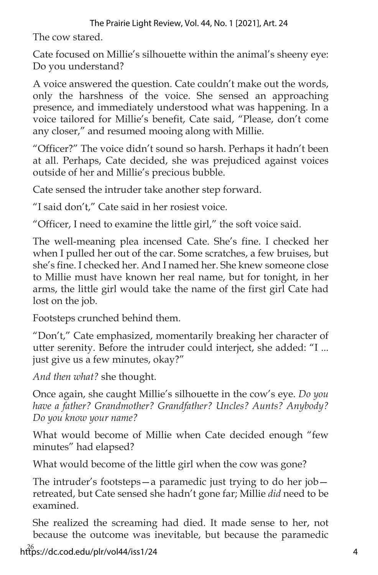## The Prairie Light Review, Vol. 44, No. 1 [2021], Art. 24

The cow stared.

Cate focused on Millie's silhouette within the animal's sheeny eye: Do you understand?

A voice answered the question. Cate couldn't make out the words, only the harshness of the voice. She sensed an approaching presence, and immediately understood what was happening. In a voice tailored for Millie's benefit, Cate said, "Please, don't come any closer," and resumed mooing along with Millie.

"Officer?" The voice didn't sound so harsh. Perhaps it hadn't been at all. Perhaps, Cate decided, she was prejudiced against voices outside of her and Millie's precious bubble.

Cate sensed the intruder take another step forward.

"I said don't," Cate said in her rosiest voice.

"Officer, I need to examine the little girl," the soft voice said.

The well-meaning plea incensed Cate. She's fine. I checked her when I pulled her out of the car. Some scratches, a few bruises, but she's fine. I checked her. And I named her. She knew someone close to Millie must have known her real name, but for tonight, in her arms, the little girl would take the name of the first girl Cate had lost on the job.

Footsteps crunched behind them.

"Don't," Cate emphasized, momentarily breaking her character of utter serenity. Before the intruder could interject, she added: "I ... just give us a few minutes, okay?"

*And then what?* she thought.

Once again, she caught Millie's silhouette in the cow's eye. *Do you have a father? Grandmother? Grandfather? Uncles? Aunts? Anybody? Do you know your name?*

What would become of Millie when Cate decided enough "few minutes" had elapsed?

What would become of the little girl when the cow was gone?

The intruder's footsteps—a paramedic just trying to do her job retreated, but Cate sensed she hadn't gone far; Millie *did* need to be examined.

She realized the screaming had died. It made sense to her, not because the outcome was inevitable, but because the paramedic